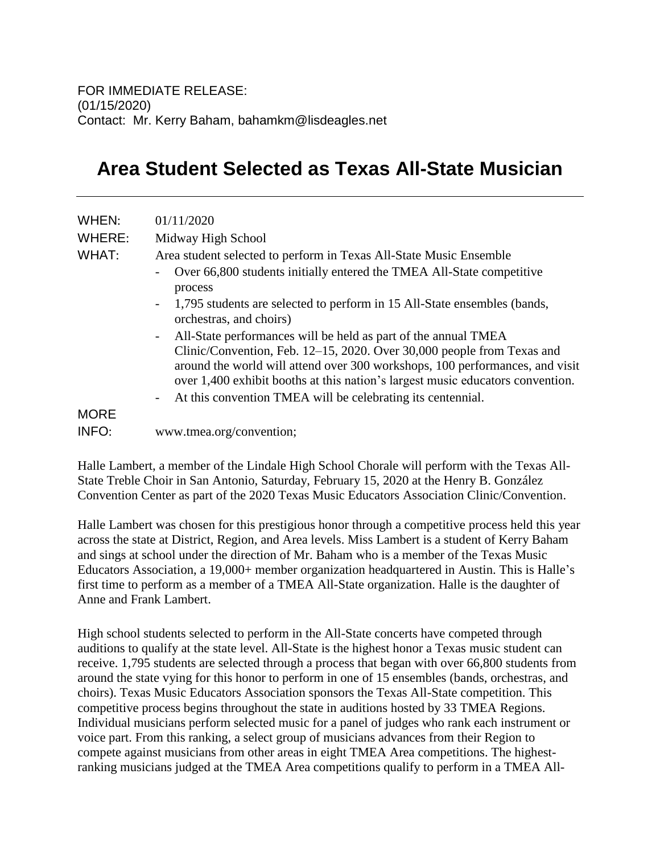## **Area Student Selected as Texas All-State Musician**

| WHEN:       | 01/11/2020                                                                                                                                                                                                                                                                                                                                                                                    |
|-------------|-----------------------------------------------------------------------------------------------------------------------------------------------------------------------------------------------------------------------------------------------------------------------------------------------------------------------------------------------------------------------------------------------|
| WHERE:      | Midway High School                                                                                                                                                                                                                                                                                                                                                                            |
| WHAT:       | Area student selected to perform in Texas All-State Music Ensemble                                                                                                                                                                                                                                                                                                                            |
|             | Over 66,800 students initially entered the TMEA All-State competitive<br>$\overline{\phantom{a}}$<br>process                                                                                                                                                                                                                                                                                  |
|             | 1,795 students are selected to perform in 15 All-State ensembles (bands,<br>$\blacksquare$<br>orchestras, and choirs)                                                                                                                                                                                                                                                                         |
|             | All-State performances will be held as part of the annual TMEA<br>$\sim$<br>Clinic/Convention, Feb. 12-15, 2020. Over 30,000 people from Texas and<br>around the world will attend over 300 workshops, 100 performances, and visit<br>over 1,400 exhibit booths at this nation's largest music educators convention.<br>At this convention TMEA will be celebrating its centennial.<br>$\sim$ |
| <b>MORE</b> |                                                                                                                                                                                                                                                                                                                                                                                               |
| INFO:       |                                                                                                                                                                                                                                                                                                                                                                                               |
|             | www.tmea.org/convention;                                                                                                                                                                                                                                                                                                                                                                      |

Halle Lambert, a member of the Lindale High School Chorale will perform with the Texas All-State Treble Choir in San Antonio, Saturday, February 15, 2020 at the Henry B. González Convention Center as part of the 2020 Texas Music Educators Association Clinic/Convention.

Halle Lambert was chosen for this prestigious honor through a competitive process held this year across the state at District, Region, and Area levels. Miss Lambert is a student of Kerry Baham and sings at school under the direction of Mr. Baham who is a member of the Texas Music Educators Association, a 19,000+ member organization headquartered in Austin. This is Halle's first time to perform as a member of a TMEA All-State organization. Halle is the daughter of Anne and Frank Lambert.

High school students selected to perform in the All-State concerts have competed through auditions to qualify at the state level. All-State is the highest honor a Texas music student can receive. 1,795 students are selected through a process that began with over 66,800 students from around the state vying for this honor to perform in one of 15 ensembles (bands, orchestras, and choirs). Texas Music Educators Association sponsors the Texas All-State competition. This competitive process begins throughout the state in auditions hosted by 33 TMEA Regions. Individual musicians perform selected music for a panel of judges who rank each instrument or voice part. From this ranking, a select group of musicians advances from their Region to compete against musicians from other areas in eight TMEA Area competitions. The highestranking musicians judged at the TMEA Area competitions qualify to perform in a TMEA All